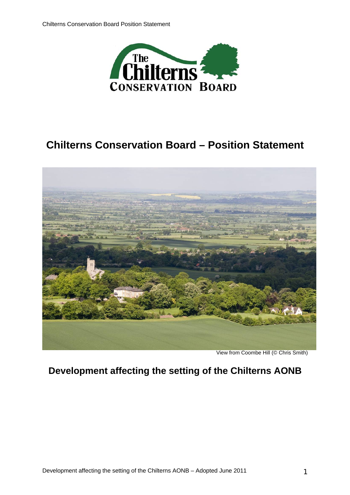

# **Chilterns Conservation Board – Position Statement**



View from Coombe Hill (© Chris Smith)

## **Development affecting the setting of the Chilterns AONB**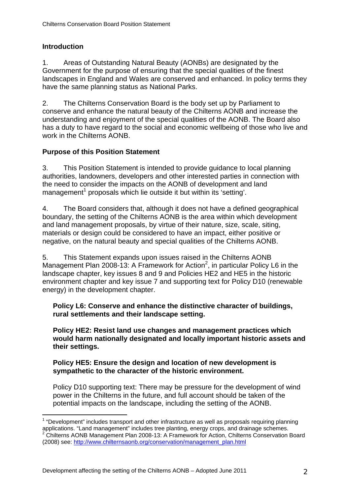## **Introduction**

 $\overline{a}$ 

1. Areas of Outstanding Natural Beauty (AONBs) are designated by the Government for the purpose of ensuring that the special qualities of the finest landscapes in England and Wales are conserved and enhanced. In policy terms they have the same planning status as National Parks.

2. The Chilterns Conservation Board is the body set up by Parliament to conserve and enhance the natural beauty of the Chilterns AONB and increase the understanding and enjoyment of the special qualities of the AONB. The Board also has a duty to have regard to the social and economic wellbeing of those who live and work in the Chilterns AONB.

## **Purpose of this Position Statement**

3. This Position Statement is intended to provide guidance to local planning authorities, landowners, developers and other interested parties in connection with the need to consider the impacts on the AONB of development and land management<sup>1</sup> proposals which lie outside it but within its 'setting'.

4. The Board considers that, although it does not have a defined geographical boundary, the setting of the Chilterns AONB is the area within which development and land management proposals, by virtue of their nature, size, scale, siting, materials or design could be considered to have an impact, either positive or negative, on the natural beauty and special qualities of the Chilterns AONB.

5. This Statement expands upon issues raised in the Chilterns AONB Management Plan 2008-13: A Framework for Action<sup>2</sup>, in particular Policy L6 in the landscape chapter, key issues 8 and 9 and Policies HE2 and HE5 in the historic environment chapter and key issue 7 and supporting text for Policy D10 (renewable energy) in the development chapter.

#### **Policy L6: Conserve and enhance the distinctive character of buildings, rural settlements and their landscape setting.**

**Policy HE2: Resist land use changes and management practices which would harm nationally designated and locally important historic assets and their settings.**

#### **Policy HE5: Ensure the design and location of new development is sympathetic to the character of the historic environment.**

Policy D10 supporting text: There may be pressure for the development of wind power in the Chilterns in the future, and full account should be taken of the potential impacts on the landscape, including the setting of the AONB.

 $1$  "Development" includes transport and other infrastructure as well as proposals requiring planning applications. "Land management" includes tree planting, energy crops, and drainage schemes. 2 <sup>2</sup> Chilterns AONB Management Plan 2008-13: A Framework for Action, Chilterns Conservation Board (2008) see: http://www.chilternsaonb.org/conservation/management\_plan.html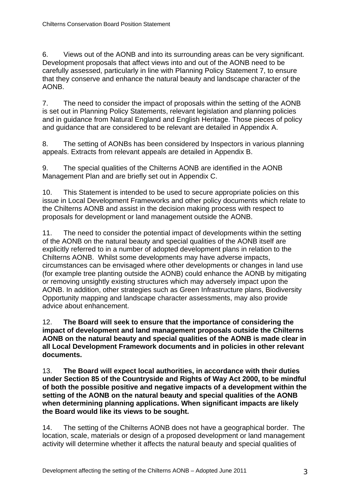6. Views out of the AONB and into its surrounding areas can be very significant. Development proposals that affect views into and out of the AONB need to be carefully assessed, particularly in line with Planning Policy Statement 7, to ensure that they conserve and enhance the natural beauty and landscape character of the AONB.

7. The need to consider the impact of proposals within the setting of the AONB is set out in Planning Policy Statements, relevant legislation and planning policies and in guidance from Natural England and English Heritage. Those pieces of policy and guidance that are considered to be relevant are detailed in Appendix A.

8. The setting of AONBs has been considered by Inspectors in various planning appeals. Extracts from relevant appeals are detailed in Appendix B.

9. The special qualities of the Chilterns AONB are identified in the AONB Management Plan and are briefly set out in Appendix C.

10. This Statement is intended to be used to secure appropriate policies on this issue in Local Development Frameworks and other policy documents which relate to the Chilterns AONB and assist in the decision making process with respect to proposals for development or land management outside the AONB.

11. The need to consider the potential impact of developments within the setting of the AONB on the natural beauty and special qualities of the AONB itself are explicitly referred to in a number of adopted development plans in relation to the Chilterns AONB. Whilst some developments may have adverse impacts, circumstances can be envisaged where other developments or changes in land use (for example tree planting outside the AONB) could enhance the AONB by mitigating or removing unsightly existing structures which may adversely impact upon the AONB. In addition, other strategies such as Green Infrastructure plans, Biodiversity Opportunity mapping and landscape character assessments, may also provide advice about enhancement.

12. **The Board will seek to ensure that the importance of considering the impact of development and land management proposals outside the Chilterns AONB on the natural beauty and special qualities of the AONB is made clear in all Local Development Framework documents and in policies in other relevant documents.** 

13. **The Board will expect local authorities, in accordance with their duties under Section 85 of the Countryside and Rights of Way Act 2000, to be mindful of both the possible positive and negative impacts of a development within the setting of the AONB on the natural beauty and special qualities of the AONB when determining planning applications. When significant impacts are likely the Board would like its views to be sought.** 

14. The setting of the Chilterns AONB does not have a geographical border. The location, scale, materials or design of a proposed development or land management activity will determine whether it affects the natural beauty and special qualities of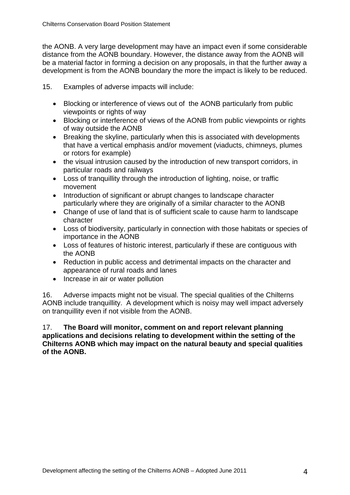the AONB. A very large development may have an impact even if some considerable distance from the AONB boundary. However, the distance away from the AONB will be a material factor in forming a decision on any proposals, in that the further away a development is from the AONB boundary the more the impact is likely to be reduced.

15. Examples of adverse impacts will include:

- Blocking or interference of views out of the AONB particularly from public viewpoints or rights of way
- Blocking or interference of views of the AONB from public viewpoints or rights of way outside the AONB
- Breaking the skyline, particularly when this is associated with developments that have a vertical emphasis and/or movement (viaducts, chimneys, plumes or rotors for example)
- the visual intrusion caused by the introduction of new transport corridors, in particular roads and railways
- Loss of tranquillity through the introduction of lighting, noise, or traffic movement
- Introduction of significant or abrupt changes to landscape character particularly where they are originally of a similar character to the AONB
- Change of use of land that is of sufficient scale to cause harm to landscape character
- Loss of biodiversity, particularly in connection with those habitats or species of importance in the AONB
- Loss of features of historic interest, particularly if these are contiguous with the AONB
- Reduction in public access and detrimental impacts on the character and appearance of rural roads and lanes
- Increase in air or water pollution

16. Adverse impacts might not be visual. The special qualities of the Chilterns AONB include tranquillity. A development which is noisy may well impact adversely on tranquillity even if not visible from the AONB.

17. **The Board will monitor, comment on and report relevant planning applications and decisions relating to development within the setting of the Chilterns AONB which may impact on the natural beauty and special qualities of the AONB.**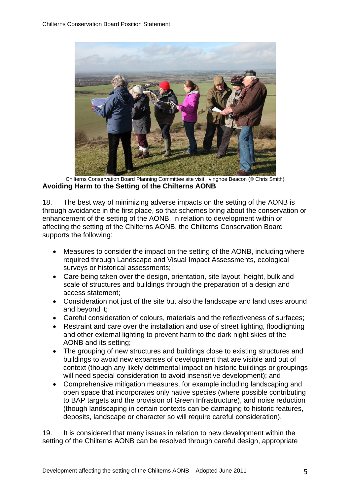

Chilterns Conservation Board Planning Committee site visit, Ivinghoe Beacon (© Chris Smith) **Avoiding Harm to the Setting of the Chilterns AONB** 

18. The best way of minimizing adverse impacts on the setting of the AONB is through avoidance in the first place, so that schemes bring about the conservation or enhancement of the setting of the AONB. In relation to development within or affecting the setting of the Chilterns AONB, the Chilterns Conservation Board supports the following:

- Measures to consider the impact on the setting of the AONB, including where required through Landscape and Visual Impact Assessments, ecological surveys or historical assessments;
- Care being taken over the design, orientation, site layout, height, bulk and scale of structures and buildings through the preparation of a design and access statement;
- Consideration not just of the site but also the landscape and land uses around and beyond it;
- Careful consideration of colours, materials and the reflectiveness of surfaces;
- Restraint and care over the installation and use of street lighting, floodlighting and other external lighting to prevent harm to the dark night skies of the AONB and its setting;
- The grouping of new structures and buildings close to existing structures and buildings to avoid new expanses of development that are visible and out of context (though any likely detrimental impact on historic buildings or groupings will need special consideration to avoid insensitive development); and
- Comprehensive mitigation measures, for example including landscaping and open space that incorporates only native species (where possible contributing to BAP targets and the provision of Green Infrastructure), and noise reduction (though landscaping in certain contexts can be damaging to historic features, deposits, landscape or character so will require careful consideration).

19. It is considered that many issues in relation to new development within the setting of the Chilterns AONB can be resolved through careful design, appropriate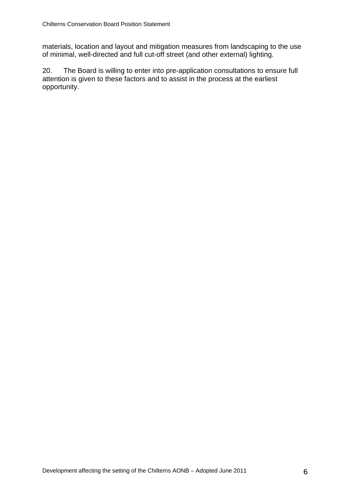materials, location and layout and mitigation measures from landscaping to the use of minimal, well-directed and full cut-off street (and other external) lighting.

20. The Board is willing to enter into pre-application consultations to ensure full attention is given to these factors and to assist in the process at the earliest opportunity.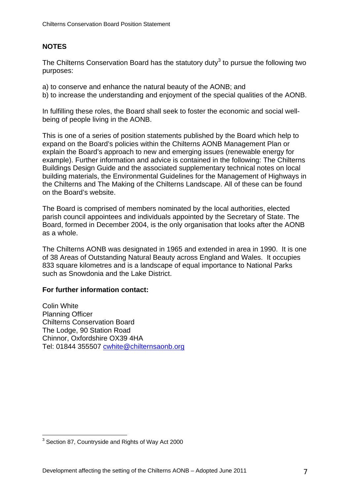## **NOTES**

The Chilterns Conservation Board has the statutory duty<sup>3</sup> to pursue the following two purposes:

- a) to conserve and enhance the natural beauty of the AONB; and
- b) to increase the understanding and enjoyment of the special qualities of the AONB.

In fulfilling these roles, the Board shall seek to foster the economic and social wellbeing of people living in the AONB.

This is one of a series of position statements published by the Board which help to expand on the Board's policies within the Chilterns AONB Management Plan or explain the Board's approach to new and emerging issues (renewable energy for example). Further information and advice is contained in the following: The Chilterns Buildings Design Guide and the associated supplementary technical notes on local building materials, the Environmental Guidelines for the Management of Highways in the Chilterns and The Making of the Chilterns Landscape. All of these can be found on the Board's website.

The Board is comprised of members nominated by the local authorities, elected parish council appointees and individuals appointed by the Secretary of State. The Board, formed in December 2004, is the only organisation that looks after the AONB as a whole.

The Chilterns AONB was designated in 1965 and extended in area in 1990. It is one of 38 Areas of Outstanding Natural Beauty across England and Wales. It occupies 833 square kilometres and is a landscape of equal importance to National Parks such as Snowdonia and the Lake District.

#### **For further information contact:**

Colin White Planning Officer Chilterns Conservation Board The Lodge, 90 Station Road Chinnor, Oxfordshire OX39 4HA Tel: 01844 355507 cwhite@chilternsaonb.org

 3 Section 87, Countryside and Rights of Way Act 2000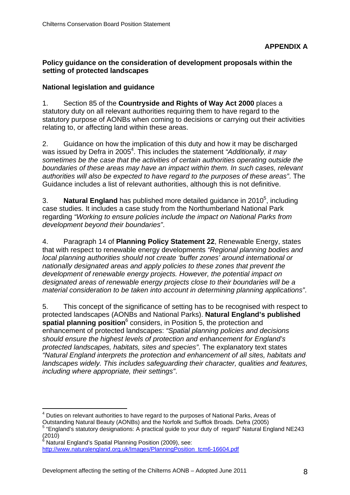#### **Policy guidance on the consideration of development proposals within the setting of protected landscapes**

## **National legislation and guidance**

1. Section 85 of the **Countryside and Rights of Way Act 2000** places a statutory duty on all relevant authorities requiring them to have regard to the statutory purpose of AONBs when coming to decisions or carrying out their activities relating to, or affecting land within these areas.

2. Guidance on how the implication of this duty and how it may be discharged was issued by Defra in 2005<sup>4</sup>. This includes the statement *"Additionally, it may sometimes be the case that the activities of certain authorities operating outside the boundaries of these areas may have an impact within them. In such cases, relevant authorities will also be expected to have regard to the purposes of these areas"*. The Guidance includes a list of relevant authorities, although this is not definitive.

3. Natural England has published more detailed guidance in 2010<sup>5</sup>, including case studies. It includes a case study from the Northumberland National Park regarding *"Working to ensure policies include the impact on National Parks from development beyond their boundaries"*.

4. Paragraph 14 of **Planning Policy Statement 22**, Renewable Energy, states that with respect to renewable energy developments *"Regional planning bodies and local planning authorities should not create 'buffer zones' around international or nationally designated areas and apply policies to these zones that prevent the development of renewable energy projects. However, the potential impact on designated areas of renewable energy projects close to their boundaries will be a material consideration to be taken into account in determining planning applications"*.

5. This concept of the significance of setting has to be recognised with respect to protected landscapes (AONBs and National Parks). **Natural England's published spatial planning position**<sup>6</sup> considers, in Position 5, the protection and enhancement of protected landscapes: *"Spatial planning policies and decisions should ensure the highest levels of protection and enhancement for England's protected landscapes, habitats, sites and species"*. The explanatory text states *"Natural England interprets the protection and enhancement of all sites, habitats and landscapes widely. This includes safeguarding their character, qualities and features, including where appropriate, their settings"*.

 $\overline{a}$ <sup>4</sup> Duties on relevant authorities to have regard to the purposes of National Parks, Areas of

Outstanding Natural Beauty (AONBs) and the Norfolk and Sufflok Broads. Defra (2005)

<sup>&</sup>lt;sup>5</sup> "England's statutory designations: A practical guide to your duty of regard" Natural England NE243 اgں۔<br>(2010)<br>ف

Natural England's Spatial Planning Position (2009), see: http://www.naturalengland.org.uk/Images/PlanningPosition\_tcm6-16604.pdf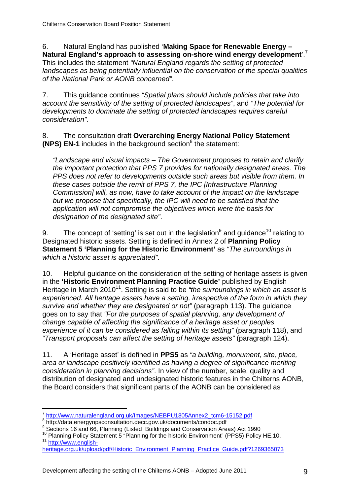6. Natural England has published '**Making Space for Renewable Energy – Natural England's approach to assessing on-shore wind energy development**'.<sup>7</sup>

This includes the statement *"Natural England regards the setting of protected landscapes as being potentially influential on the conservation of the special qualities of the National Park or AONB concerned"*.

7. This guidance continues *"Spatial plans should include policies that take into account the sensitivity of the setting of protected landscapes"*, and *"The potential for developments to dominate the setting of protected landscapes requires careful consideration"*.

8. The consultation draft **Overarching Energy National Policy Statement (NPS) EN-1** includes in the background section<sup>8</sup> the statement:

*"Landscape and visual impacts – The Government proposes to retain and clarify the important protection that PPS 7 provides for nationally designated areas. The PPS does not refer to developments outside such areas but visible from them. In these cases outside the remit of PPS 7, the IPC [Infrastructure Planning Commission] will, as now, have to take account of the impact on the landscape but we propose that specifically, the IPC will need to be satisfied that the application will not compromise the objectives which were the basis for designation of the designated site"*.

9. The concept of 'setting' is set out in the legislation<sup>9</sup> and guidance<sup>10</sup> relating to Designated historic assets. Setting is defined in Annex 2 of **Planning Policy Statement 5 'Planning for the Historic Environment'** as *"The surroundings in which a historic asset is appreciated"*.

10. Helpful guidance on the consideration of the setting of heritage assets is given in the **'Historic Environment Planning Practice Guide'** published by English Heritage in March 2010<sup>11</sup>. Setting is said to be "the surroundings in which an asset is *experienced. All heritage assets have a setting, irrespective of the form in which they survive and whether they are designated or not"* (paragraph 113). The guidance goes on to say that *"For the purposes of spatial planning, any development of change capable of affecting the significance of a heritage asset or peoples experience of it can be considered as falling within its setting*" (paragraph 118), and *"Transport proposals can affect the setting of heritage assets"* (paragraph 124).

11. A 'Heritage asset' is defined in **PPS5** as *"a building, monument, site, place, area or landscape positively identified as having a degree of significance meriting consideration in planning decisions"*. In view of the number, scale, quality and distribution of designated and undesignated historic features in the Chilterns AONB, the Board considers that significant parts of the AONB can be considered as

 $\overline{a}$ 

<sup>7</sup> http://www.naturalengland.org.uk/Images/NEBPU1805Annex2\_tcm6-15152.pdf 8

<sup>8</sup> http://data.energynpsconsultation.decc.gov.uk/documents/condoc.pdf

**Sections 16 and 66, Planning (Listed Buildings and Conservation Areas) Act 1990** 

<sup>&</sup>lt;sup>10</sup> Planning Policy Statement 5 "Planning for the historic Environment" (PPS5) Policy HE.10.<br><sup>11</sup> http://www.english-

heritage.org.uk/upload/pdf/Historic\_Environment\_Planning\_Practice\_Guide.pdf?1269365073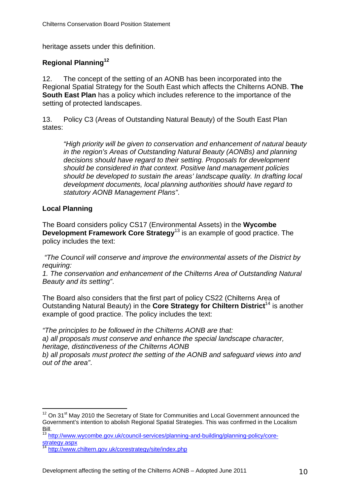heritage assets under this definition.

## **Regional Planning12**

12. The concept of the setting of an AONB has been incorporated into the Regional Spatial Strategy for the South East which affects the Chilterns AONB. **The South East Plan** has a policy which includes reference to the importance of the setting of protected landscapes.

13. Policy C3 (Areas of Outstanding Natural Beauty) of the South East Plan states:

*"High priority will be given to conservation and enhancement of natural beauty in the region's Areas of Outstanding Natural Beauty (AONBs) and planning decisions should have regard to their setting. Proposals for development should be considered in that context. Positive land management policies should be developed to sustain the areas' landscape quality. In drafting local development documents, local planning authorities should have regard to statutory AONB Management Plans"*.

#### **Local Planning**

 $\overline{a}$ 

The Board considers policy CS17 (Environmental Assets) in the **Wycombe Development Framework Core Strategy**<sup>13</sup> is an example of good practice. The policy includes the text:

 *"The Council will conserve and improve the environmental assets of the District by requiring:* 

*1. The conservation and enhancement of the Chilterns Area of Outstanding Natural Beauty and its setting"*.

The Board also considers that the first part of policy CS22 (Chilterns Area of Outstanding Natural Beauty) in the **Core Strategy for Chiltern District**14 is another example of good practice. The policy includes the text:

*"The principles to be followed in the Chilterns AONB are that: a) all proposals must conserve and enhance the special landscape character, heritage, distinctiveness of the Chilterns AONB b) all proposals must protect the setting of the AONB and safeguard views into and out of the area"*.

 $12$  On 31 $\mathrm{st}$  May 2010 the Secretary of State for Communities and Local Government announced the Government's intention to abolish Regional Spatial Strategies. This was confirmed in the Localism Bill.

<sup>13</sup> http://www.wycombe.gov.uk/council-services/planning-and-building/planning-policy/corestrategy.aspx<br><sup>14</sup> http://www.chiltern.gov.uk/corestrategy/site/index.php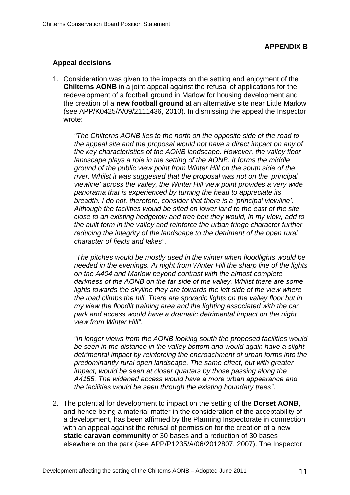#### **Appeal decisions**

1. Consideration was given to the impacts on the setting and enjoyment of the **Chilterns AONB** in a joint appeal against the refusal of applications for the redevelopment of a football ground in Marlow for housing development and the creation of a **new football ground** at an alternative site near Little Marlow (see APP/K0425/A/09/2111436, 2010). In dismissing the appeal the Inspector wrote:

*"The Chilterns AONB lies to the north on the opposite side of the road to the appeal site and the proposal would not have a direct impact on any of the key characteristics of the AONB landscape. However, the valley floor landscape plays a role in the setting of the AONB. It forms the middle ground of the public view point from Winter Hill on the south side of the river. Whilst it was suggested that the proposal was not on the 'principal viewline' across the valley, the Winter Hill view point provides a very wide panorama that is experienced by turning the head to appreciate its breadth. I do not, therefore, consider that there is a 'principal viewline'. Although the facilities would be sited on lower land to the east of the site close to an existing hedgerow and tree belt they would, in my view, add to the built form in the valley and reinforce the urban fringe character further reducing the integrity of the landscape to the detriment of the open rural character of fields and lakes"*.

*"The pitches would be mostly used in the winter when floodlights would be needed in the evenings. At night from Winter Hill the sharp line of the lights on the A404 and Marlow beyond contrast with the almost complete darkness of the AONB on the far side of the valley. Whilst there are some*  lights towards the skyline they are towards the left side of the view where *the road climbs the hill. There are sporadic lights on the valley floor but in my view the floodlit training area and the lighting associated with the car park and access would have a dramatic detrimental impact on the night view from Winter Hill"*.

*"In longer views from the AONB looking south the proposed facilities would be seen in the distance in the valley bottom and would again have a slight detrimental impact by reinforcing the encroachment of urban forms into the predominantly rural open landscape. The same effect, but with greater impact, would be seen at closer quarters by those passing along the A4155. The widened access would have a more urban appearance and the facilities would be seen through the existing boundary trees"*.

2. The potential for development to impact on the setting of the **Dorset AONB**, and hence being a material matter in the consideration of the acceptability of a development, has been affirmed by the Planning Inspectorate in connection with an appeal against the refusal of permission for the creation of a new **static caravan community** of 30 bases and a reduction of 30 bases elsewhere on the park (see APP/P1235/A/06/2012807, 2007). The Inspector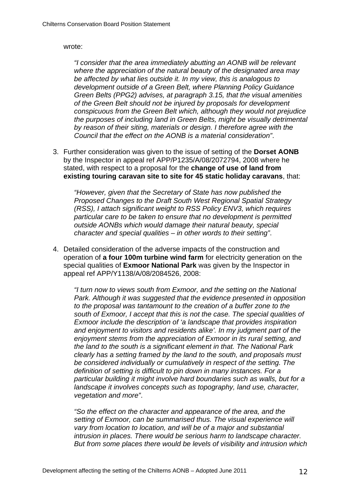#### wrote:

*"I consider that the area immediately abutting an AONB will be relevant where the appreciation of the natural beauty of the designated area may be affected by what lies outside it. In my view, this is analogous to development outside of a Green Belt, where Planning Policy Guidance Green Belts (PPG2) advises, at paragraph 3.15, that the visual amenities of the Green Belt should not be injured by proposals for development conspicuous from the Green Belt which, although they would not prejudice the purposes of including land in Green Belts, might be visually detrimental by reason of their siting, materials or design. I therefore agree with the Council that the effect on the AONB is a material consideration"*.

3. Further consideration was given to the issue of setting of the **Dorset AONB** by the Inspector in appeal ref APP/P1235/A/08/2072794, 2008 where he stated, with respect to a proposal for the **change of use of land from existing touring caravan site to site for 45 static holiday caravans**, that:

*"However, given that the Secretary of State has now published the Proposed Changes to the Draft South West Regional Spatial Strategy (RSS), I attach significant weight to RSS Policy ENV3, which requires particular care to be taken to ensure that no development is permitted outside AONBs which would damage their natural beauty, special character and special qualities – in other words to their setting"*.

4. Detailed consideration of the adverse impacts of the construction and operation of **a four 100m turbine wind farm** for electricity generation on the special qualities of **Exmoor National Park** was given by the Inspector in appeal ref APP/Y1138/A/08/2084526, 2008:

*"I turn now to views south from Exmoor, and the setting on the National Park. Although it was suggested that the evidence presented in opposition to the proposal was tantamount to the creation of a buffer zone to the south of Exmoor, I accept that this is not the case. The special qualities of Exmoor include the description of 'a landscape that provides inspiration and enjoyment to visitors and residents alike'. In my judgment part of the enjoyment stems from the appreciation of Exmoor in its rural setting, and the land to the south is a significant element in that. The National Park clearly has a setting framed by the land to the south, and proposals must be considered individually or cumulatively in respect of the setting. The definition of setting is difficult to pin down in many instances. For a particular building it might involve hard boundaries such as walls, but for a landscape it involves concepts such as topography, land use, character, vegetation and more"*.

*"So the effect on the character and appearance of the area, and the setting of Exmoor, can be summarised thus. The visual experience will vary from location to location, and will be of a major and substantial intrusion in places. There would be serious harm to landscape character. But from some places there would be levels of visibility and intrusion which*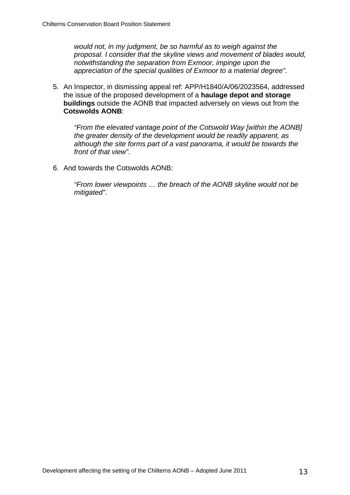*would not, in my judgment, be so harmful as to weigh against the proposal. I consider that the skyline views and movement of blades would, notwithstanding the separation from Exmoor, impinge upon the appreciation of the special qualities of Exmoor to a material degree"*.

5. An Inspector, in dismissing appeal ref: APP/H1840/A/06/2023564, addressed the issue of the proposed development of a **haulage depot and storage buildings** outside the AONB that impacted adversely on views out from the **Cotswolds AONB**:

*"From the elevated vantage point of the Cotswold Way [within the AONB] the greater density of the development would be readily apparent, as although the site forms part of a vast panorama, it would be towards the front of that view"*.

6. And towards the Cotswolds AONB:

*"From lower viewpoints … the breach of the AONB skyline would not be mitigated"*.